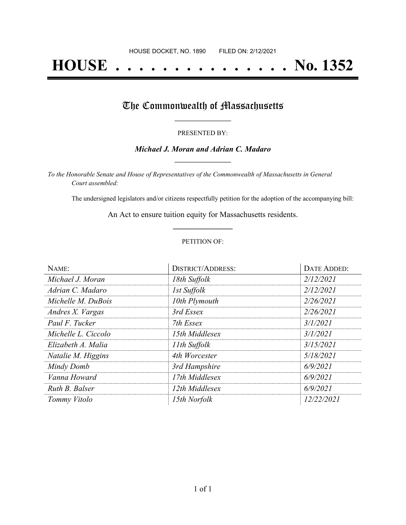# **HOUSE . . . . . . . . . . . . . . . No. 1352**

## The Commonwealth of Massachusetts

#### PRESENTED BY:

#### *Michael J. Moran and Adrian C. Madaro* **\_\_\_\_\_\_\_\_\_\_\_\_\_\_\_\_\_**

*To the Honorable Senate and House of Representatives of the Commonwealth of Massachusetts in General Court assembled:*

The undersigned legislators and/or citizens respectfully petition for the adoption of the accompanying bill:

An Act to ensure tuition equity for Massachusetts residents. **\_\_\_\_\_\_\_\_\_\_\_\_\_\_\_**

#### PETITION OF:

| NAME:               | <b>DISTRICT/ADDRESS:</b> | <b>DATE ADDED:</b> |
|---------------------|--------------------------|--------------------|
| Michael J. Moran    | 18th Suffolk             | 2/12/2021          |
| Adrian C. Madaro    | 1st Suffolk              | 2/12/2021          |
| Michelle M. DuBois  | 10th Plymouth            | 2/26/2021          |
| Andres X. Vargas    | 3rd Essex                | 2/26/2021          |
| Paul F. Tucker      | 7th Essex                | 3/1/2021           |
| Michelle L. Ciccolo | 15th Middlesex           | 3/1/2021           |
| Elizabeth A. Malia  | 11th Suffolk             | 3/15/2021          |
| Natalie M. Higgins  | 4th Worcester            | 5/18/2021          |
| Mindy Domb          | 3rd Hampshire            | 6/9/2021           |
| Vanna Howard        | 17th Middlesex           | 6/9/2021           |
| Ruth B. Balser      | 12th Middlesex           | 6/9/2021           |
| Tommy Vitolo        | 15th Norfolk             | 12/22/2021         |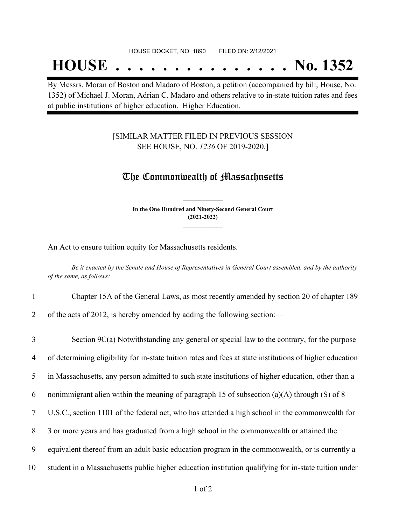## **HOUSE . . . . . . . . . . . . . . . No. 1352**

By Messrs. Moran of Boston and Madaro of Boston, a petition (accompanied by bill, House, No. 1352) of Michael J. Moran, Adrian C. Madaro and others relative to in-state tuition rates and fees at public institutions of higher education. Higher Education.

### [SIMILAR MATTER FILED IN PREVIOUS SESSION SEE HOUSE, NO. *1236* OF 2019-2020.]

## The Commonwealth of Massachusetts

**In the One Hundred and Ninety-Second General Court (2021-2022) \_\_\_\_\_\_\_\_\_\_\_\_\_\_\_**

**\_\_\_\_\_\_\_\_\_\_\_\_\_\_\_**

An Act to ensure tuition equity for Massachusetts residents.

Be it enacted by the Senate and House of Representatives in General Court assembled, and by the authority *of the same, as follows:*

- 1 Chapter 15A of the General Laws, as most recently amended by section 20 of chapter 189
- 2 of the acts of 2012, is hereby amended by adding the following section:—

| $\overline{3}$ | Section $9C(a)$ Notwithstanding any general or special law to the contrary, for the purpose              |
|----------------|----------------------------------------------------------------------------------------------------------|
| $\overline{4}$ | of determining eligibility for in-state tuition rates and fees at state institutions of higher education |
| 5              | in Massachusetts, any person admitted to such state institutions of higher education, other than a       |
| 6              | nonimmigrant alien within the meaning of paragraph 15 of subsection $(a)(A)$ through $(S)$ of 8          |
|                | U.S.C., section 1101 of the federal act, who has attended a high school in the commonwealth for          |
| 8              | 3 or more years and has graduated from a high school in the commonwealth or attained the                 |
| 9              | equivalent thereof from an adult basic education program in the commonwealth, or is currently a          |
| 10             | student in a Massachusetts public higher education institution qualifying for in-state tuition under     |